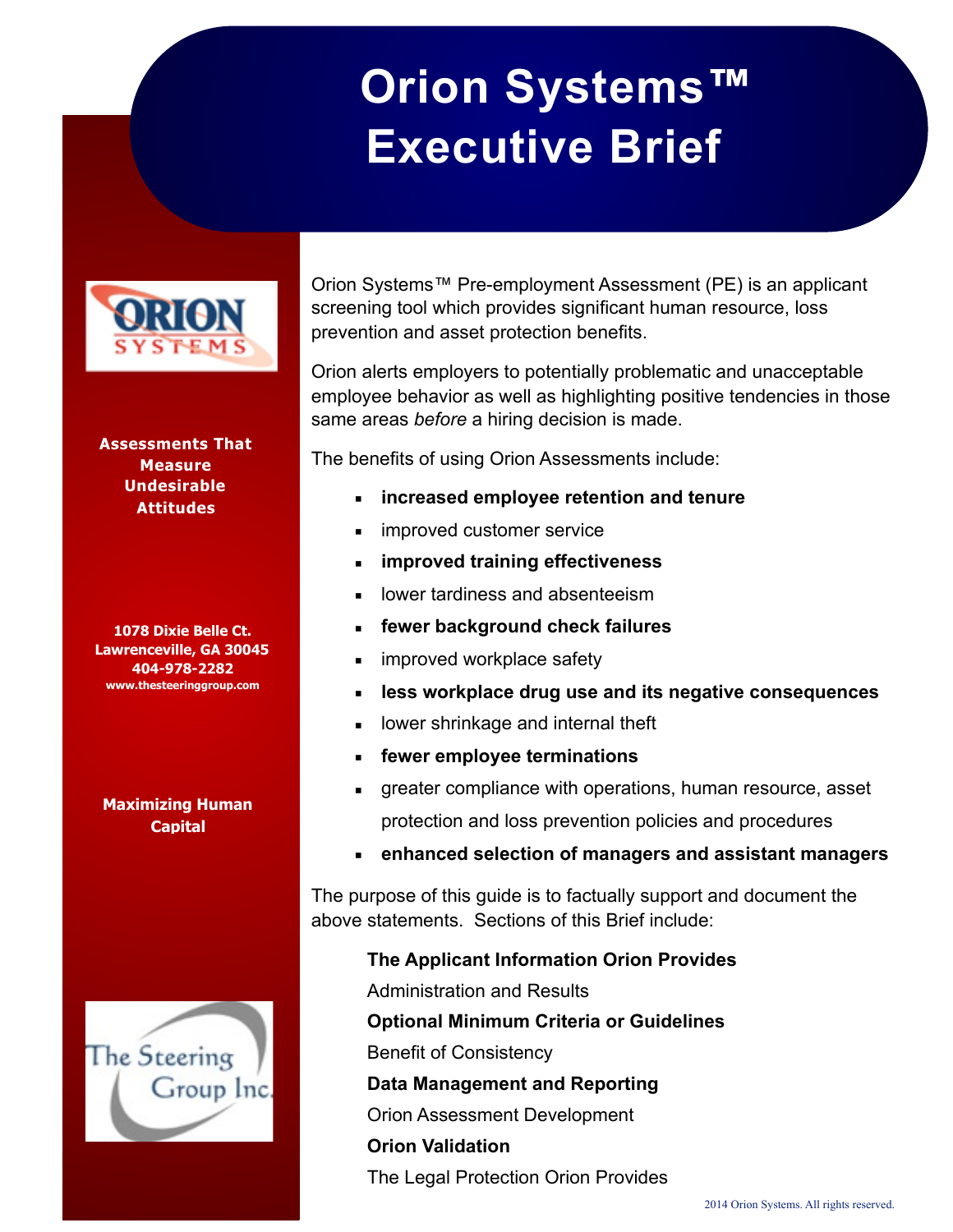# **Orion Systems™ Executive Brief**



I

**Assessments That Measure Undesirable Attitudes** 

**1078 Dixie Belle Ct. Lawrenceville, GA 30045 404-978-2282 www.thesteeringgroup.com**

#### **Maximizing Human Capital**



Orion Systems™ Pre-employment Assessment (PE) is an applicant screening tool which provides significant human resource, loss prevention and asset protection benefits.

Orion alerts employers to potentially problematic and unacceptable employee behavior as well as highlighting positive tendencies in those same areas *before* a hiring decision is made.

The benefits of using Orion Assessments include:

- **increased employee retention and tenure**
- improved customer service
- **improved training effectiveness**
- lower tardiness and absenteeism
- fewer background check failures
- improved workplace safety
- less workplace drug use and its negative consequences
- **EXEDEE** lower shrinkage and internal theft
- **fewer employee terminations**
- greater compliance with operations, human resource, asset protection and loss prevention policies and procedures
- **enhanced selection of managers and assistant managers**

The purpose of this guide is to factually support and document the above statements. Sections of this Brief include:

**The Applicant Information Orion Provides** 

Administration and Results

**Optional Minimum Criteria or Guidelines** 

Benefit of Consistency

**Data Management and Reporting** 

Orion Assessment Development

**Orion Validation** 

The Legal Protection Orion Provides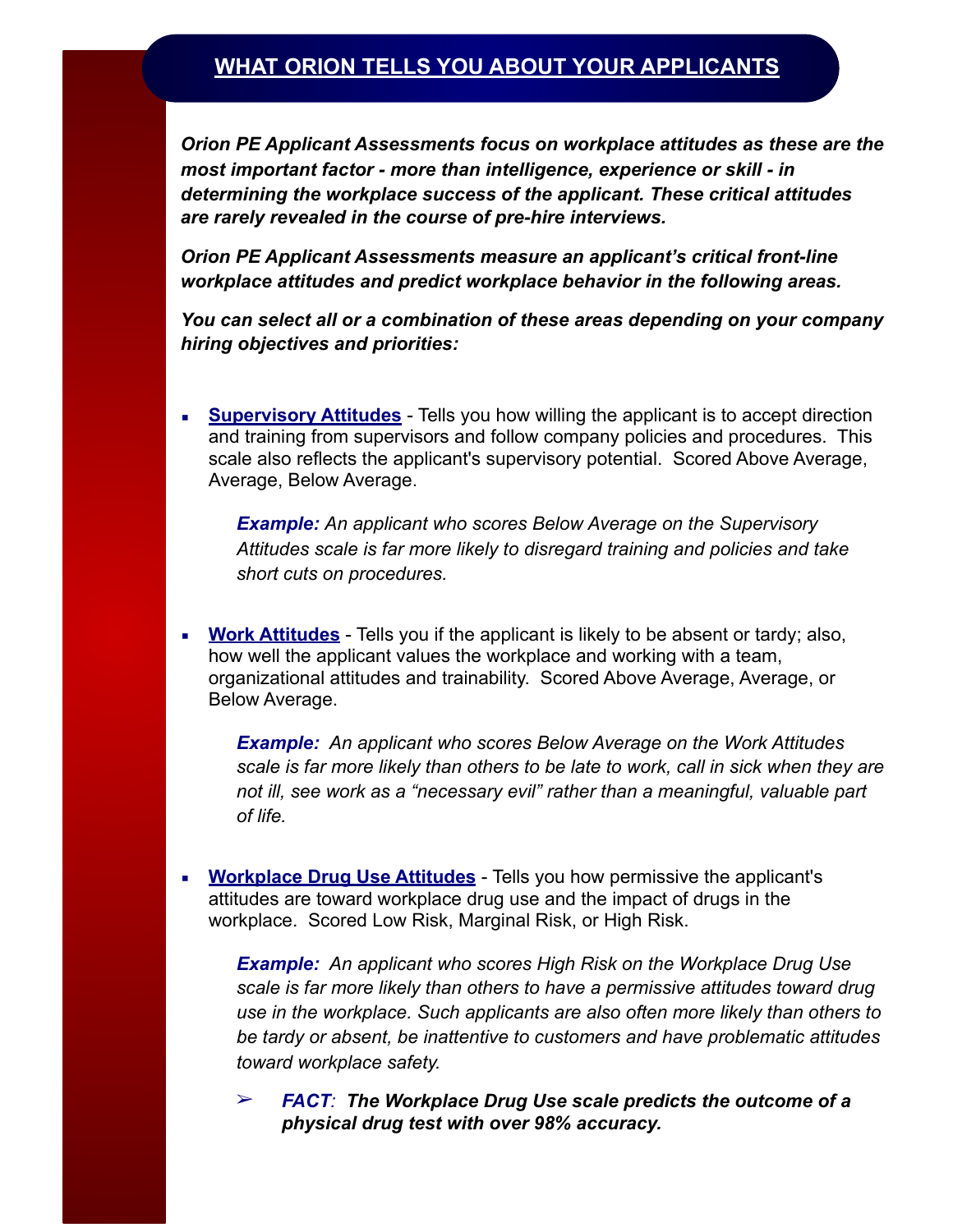## **WHAT ORION TELLS YOU ABOUT YOUR APPLICANTS**

*Orion PE Applicant Assessments focus on workplace attitudes as these are the most important factor - more than intelligence, experience or skill - in determining the workplace success of the applicant. These critical attitudes are rarely revealed in the course of pre-hire interviews.* 

*Orion PE Applicant Assessments measure an applicant's critical front-line workplace attitudes and predict workplace behavior in the following areas.* 

*You can select all or a combination of these areas depending on your company hiring objectives and priorities:* 

**EXED Supervisory Attitudes** - Tells you how willing the applicant is to accept direction and training from supervisors and follow company policies and procedures. This scale also reflects the applicant's supervisory potential. Scored Above Average, Average, Below Average.

*Example: An applicant who scores Below Average on the Supervisory Attitudes scale is far more likely to disregard training and policies and take short cuts on procedures.* 

**EXECT** Work Attitudes - Tells you if the applicant is likely to be absent or tardy; also, how well the applicant values the workplace and working with a team, organizational attitudes and trainability. Scored Above Average, Average, or Below Average.

*Example: An applicant who scores Below Average on the Work Attitudes scale is far more likely than others to be late to work, call in sick when they are not ill, see work as a "necessary evil" rather than a meaningful, valuable part of life.* 

**EXECT** Workplace Drug Use Attitudes - Tells you how permissive the applicant's attitudes are toward workplace drug use and the impact of drugs in the workplace. Scored Low Risk, Marginal Risk, or High Risk.

*Example: An applicant who scores High Risk on the Workplace Drug Use scale is far more likely than others to have a permissive attitudes toward drug use in the workplace. Such applicants are also often more likely than others to be tardy or absent, be inattentive to customers and have problematic attitudes toward workplace safety.* 

➢ *FACT: The Workplace Drug Use scale predicts the outcome of a physical drug test with over 98% accuracy.*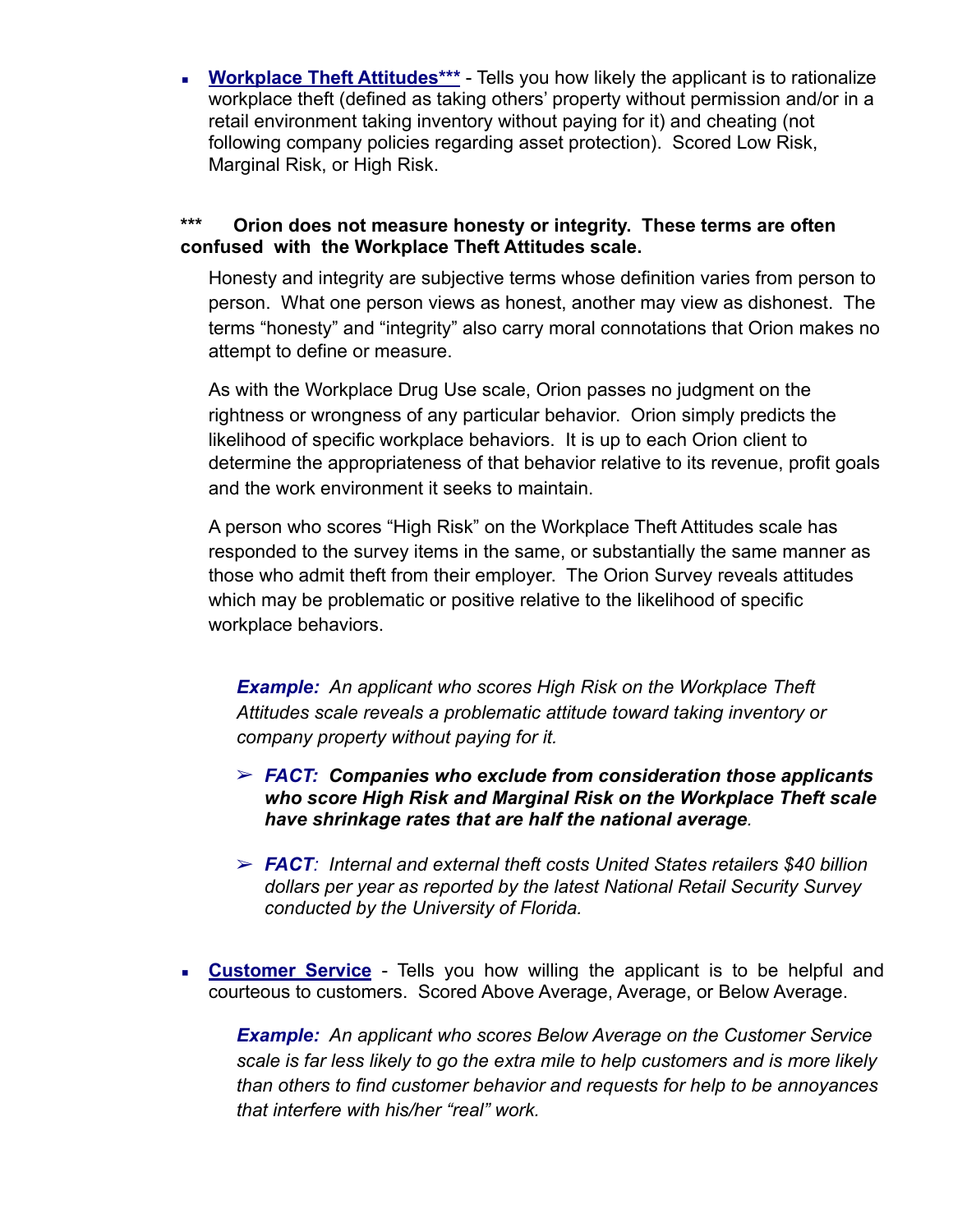**• Workplace Theft Attitudes\*\*\*** - Tells you how likely the applicant is to rationalize workplace theft (defined as taking others' property without permission and/or in a retail environment taking inventory without paying for it) and cheating (not following company policies regarding asset protection). Scored Low Risk, Marginal Risk, or High Risk.

### **\*\*\* Orion does not measure honesty or integrity. These terms are often confused with the Workplace Theft Attitudes scale.**

Honesty and integrity are subjective terms whose definition varies from person to person. What one person views as honest, another may view as dishonest. The terms "honesty" and "integrity" also carry moral connotations that Orion makes no attempt to define or measure.

As with the Workplace Drug Use scale, Orion passes no judgment on the rightness or wrongness of any particular behavior. Orion simply predicts the likelihood of specific workplace behaviors. It is up to each Orion client to determine the appropriateness of that behavior relative to its revenue, profit goals and the work environment it seeks to maintain.

A person who scores "High Risk" on the Workplace Theft Attitudes scale has responded to the survey items in the same, or substantially the same manner as those who admit theft from their employer. The Orion Survey reveals attitudes which may be problematic or positive relative to the likelihood of specific workplace behaviors.

*Example: An applicant who scores High Risk on the Workplace Theft Attitudes scale reveals a problematic attitude toward taking inventory or company property without paying for it.* 

- ➢ *FACT: Companies who exclude from consideration those applicants who score High Risk and Marginal Risk on the Workplace Theft scale have shrinkage rates that are half the national average.*
- ➢ *FACT: Internal and external theft costs United States retailers \$40 billion dollars per year as reported by the latest National Retail Security Survey conducted by the University of Florida.*
- **Example 7 Customer Service** Tells you how willing the applicant is to be helpful and courteous to customers. Scored Above Average, Average, or Below Average.

*Example: An applicant who scores Below Average on the Customer Service scale is far less likely to go the extra mile to help customers and is more likely than others to find customer behavior and requests for help to be annoyances that interfere with his/her "real" work.*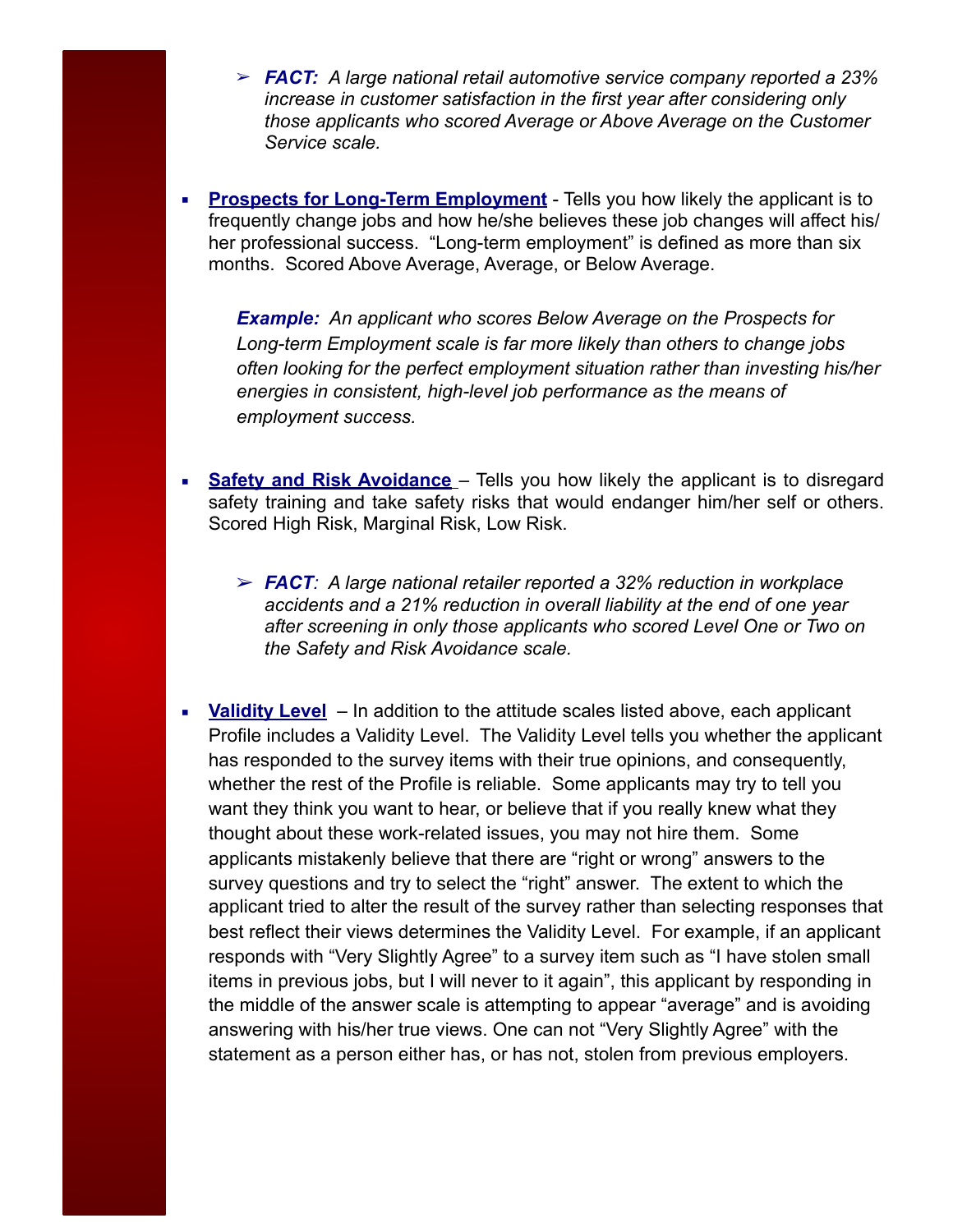- ➢ *FACT: A large national retail automotive service company reported a 23% increase in customer satisfaction in the first year after considering only those applicants who scored Average or Above Average on the Customer Service scale.*
- **Prospects for Long-Term Employment** Tells you how likely the applicant is to frequently change jobs and how he/she believes these job changes will affect his/ her professional success. "Long-term employment" is defined as more than six months. Scored Above Average, Average, or Below Average.

*Example: An applicant who scores Below Average on the Prospects for Long-term Employment scale is far more likely than others to change jobs often looking for the perfect employment situation rather than investing his/her energies in consistent, high-level job performance as the means of employment success.* 

- **Safety and Risk Avoidance** Tells you how likely the applicant is to disregard safety training and take safety risks that would endanger him/her self or others. Scored High Risk, Marginal Risk, Low Risk.
	- ➢ *FACT: A large national retailer reported a 32% reduction in workplace accidents and a 21% reduction in overall liability at the end of one year after screening in only those applicants who scored Level One or Two on the Safety and Risk Avoidance scale.*
- **Example 1** Validity Level In addition to the attitude scales listed above, each applicant Profile includes a Validity Level. The Validity Level tells you whether the applicant has responded to the survey items with their true opinions, and consequently, whether the rest of the Profile is reliable. Some applicants may try to tell you want they think you want to hear, or believe that if you really knew what they thought about these work-related issues, you may not hire them. Some applicants mistakenly believe that there are "right or wrong" answers to the survey questions and try to select the "right" answer. The extent to which the applicant tried to alter the result of the survey rather than selecting responses that best reflect their views determines the Validity Level. For example, if an applicant responds with "Very Slightly Agree" to a survey item such as "I have stolen small items in previous jobs, but I will never to it again", this applicant by responding in the middle of the answer scale is attempting to appear "average" and is avoiding answering with his/her true views. One can not "Very Slightly Agree" with the statement as a person either has, or has not, stolen from previous employers.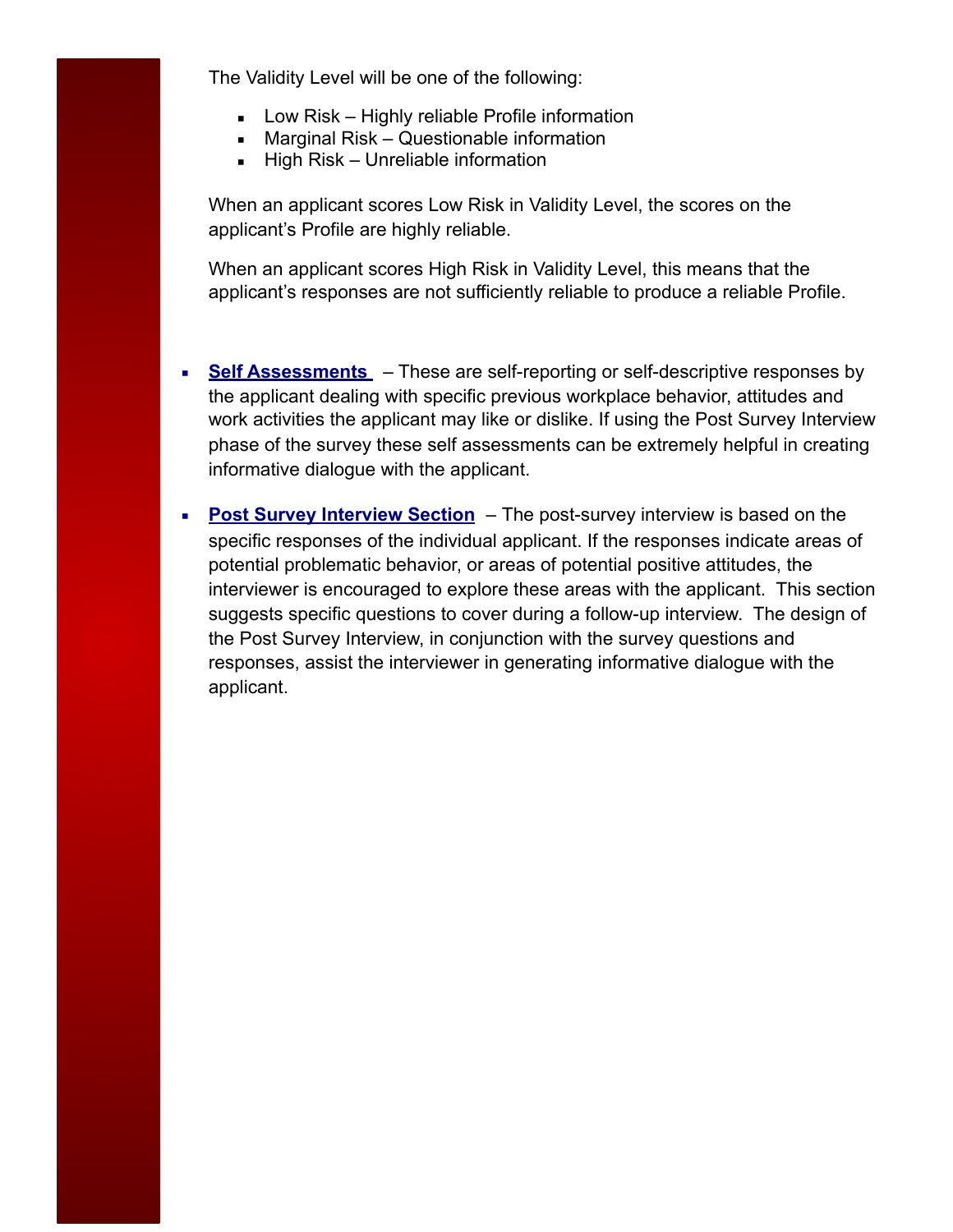The Validity Level will be one of the following:

- **E** Low Risk Highly reliable Profile information
- Marginal Risk Questionable information
- **E** High Risk Unreliable information

When an applicant scores Low Risk in Validity Level, the scores on the applicant's Profile are highly reliable.

When an applicant scores High Risk in Validity Level, this means that the applicant's responses are not sufficiently reliable to produce a reliable Profile.

- **EXECTE:** Self Assessments These are self-reporting or self-descriptive responses by the applicant dealing with specific previous workplace behavior, attitudes and work activities the applicant may like or dislike. If using the Post Survey Interview phase of the survey these self assessments can be extremely helpful in creating informative dialogue with the applicant.
- **Post Survey Interview Section** The post-survey interview is based on the specific responses of the individual applicant. If the responses indicate areas of potential problematic behavior, or areas of potential positive attitudes, the interviewer is encouraged to explore these areas with the applicant. This section suggests specific questions to cover during a follow-up interview. The design of the Post Survey Interview, in conjunction with the survey questions and responses, assist the interviewer in generating informative dialogue with the applicant.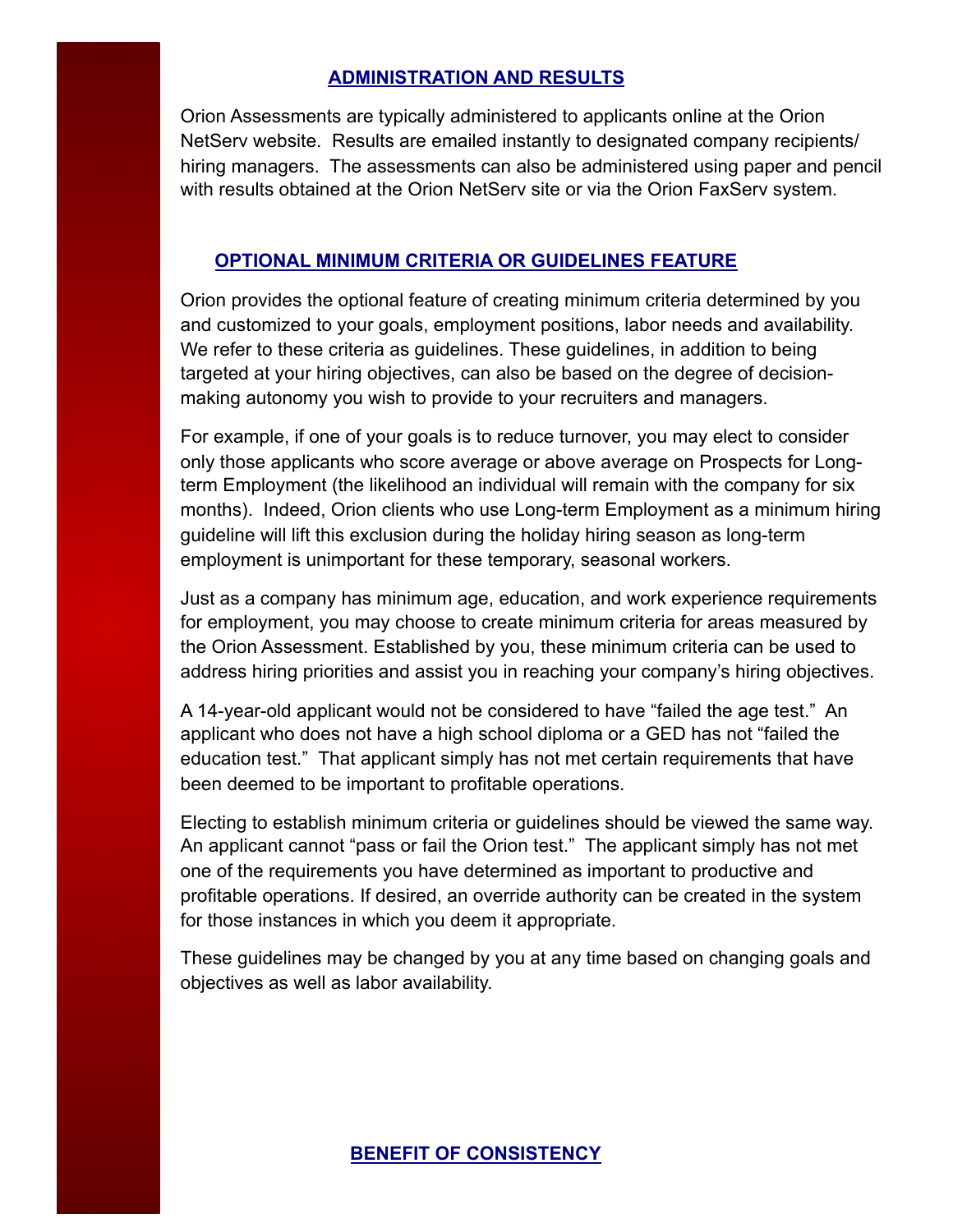## **ADMINISTRATION AND RESULTS**

Orion Assessments are typically administered to applicants online at the Orion NetServ website. Results are emailed instantly to designated company recipients/ hiring managers. The assessments can also be administered using paper and pencil with results obtained at the Orion NetServ site or via the Orion FaxServ system.

## **OPTIONAL MINIMUM CRITERIA OR GUIDELINES FEATURE**

Orion provides the optional feature of creating minimum criteria determined by you and customized to your goals, employment positions, labor needs and availability. We refer to these criteria as guidelines. These guidelines, in addition to being targeted at your hiring objectives, can also be based on the degree of decisionmaking autonomy you wish to provide to your recruiters and managers.

For example, if one of your goals is to reduce turnover, you may elect to consider only those applicants who score average or above average on Prospects for Longterm Employment (the likelihood an individual will remain with the company for six months). Indeed, Orion clients who use Long-term Employment as a minimum hiring guideline will lift this exclusion during the holiday hiring season as long-term employment is unimportant for these temporary, seasonal workers.

Just as a company has minimum age, education, and work experience requirements for employment, you may choose to create minimum criteria for areas measured by the Orion Assessment. Established by you, these minimum criteria can be used to address hiring priorities and assist you in reaching your company's hiring objectives.

A 14-year-old applicant would not be considered to have "failed the age test." An applicant who does not have a high school diploma or a GED has not "failed the education test." That applicant simply has not met certain requirements that have been deemed to be important to profitable operations.

Electing to establish minimum criteria or guidelines should be viewed the same way. An applicant cannot "pass or fail the Orion test." The applicant simply has not met one of the requirements you have determined as important to productive and profitable operations. If desired, an override authority can be created in the system for those instances in which you deem it appropriate.

These guidelines may be changed by you at any time based on changing goals and objectives as well as labor availability.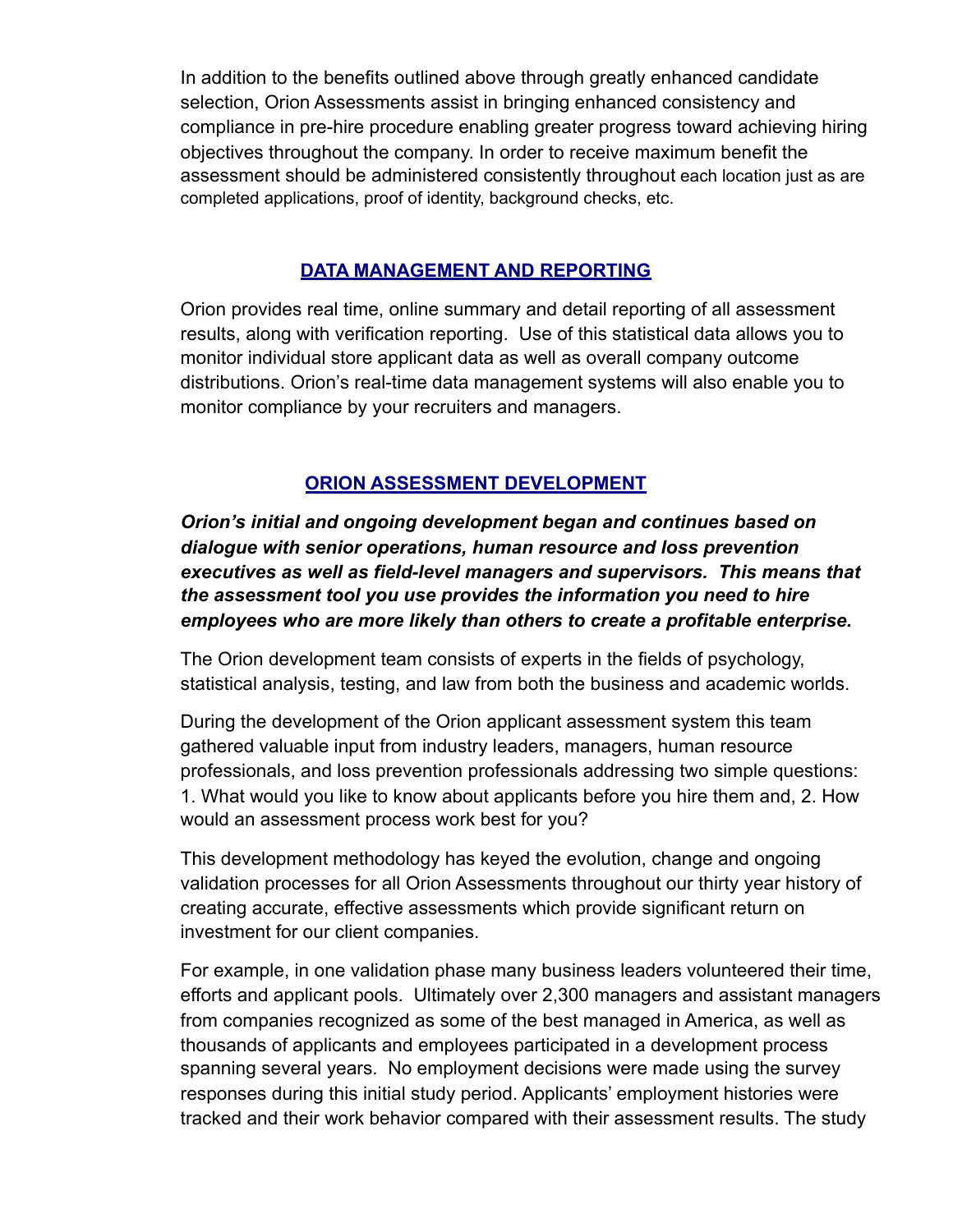In addition to the benefits outlined above through greatly enhanced candidate selection, Orion Assessments assist in bringing enhanced consistency and compliance in pre-hire procedure enabling greater progress toward achieving hiring objectives throughout the company. In order to receive maximum benefit the assessment should be administered consistently throughout each location just as are completed applications, proof of identity, background checks, etc.

## **DATA MANAGEMENT AND REPORTING**

Orion provides real time, online summary and detail reporting of all assessment results, along with verification reporting. Use of this statistical data allows you to monitor individual store applicant data as well as overall company outcome distributions. Orion's real-time data management systems will also enable you to monitor compliance by your recruiters and managers.

## **ORION ASSESSMENT DEVELOPMENT**

*Orion's initial and ongoing development began and continues based on dialogue with senior operations, human resource and loss prevention executives as well as field-level managers and supervisors. This means that the assessment tool you use provides the information you need to hire employees who are more likely than others to create a profitable enterprise.* 

The Orion development team consists of experts in the fields of psychology, statistical analysis, testing, and law from both the business and academic worlds.

During the development of the Orion applicant assessment system this team gathered valuable input from industry leaders, managers, human resource professionals, and loss prevention professionals addressing two simple questions: 1. What would you like to know about applicants before you hire them and, 2. How would an assessment process work best for you?

This development methodology has keyed the evolution, change and ongoing validation processes for all Orion Assessments throughout our thirty year history of creating accurate, effective assessments which provide significant return on investment for our client companies.

For example, in one validation phase many business leaders volunteered their time, efforts and applicant pools. Ultimately over 2,300 managers and assistant managers from companies recognized as some of the best managed in America, as well as thousands of applicants and employees participated in a development process spanning several years. No employment decisions were made using the survey responses during this initial study period. Applicants' employment histories were tracked and their work behavior compared with their assessment results. The study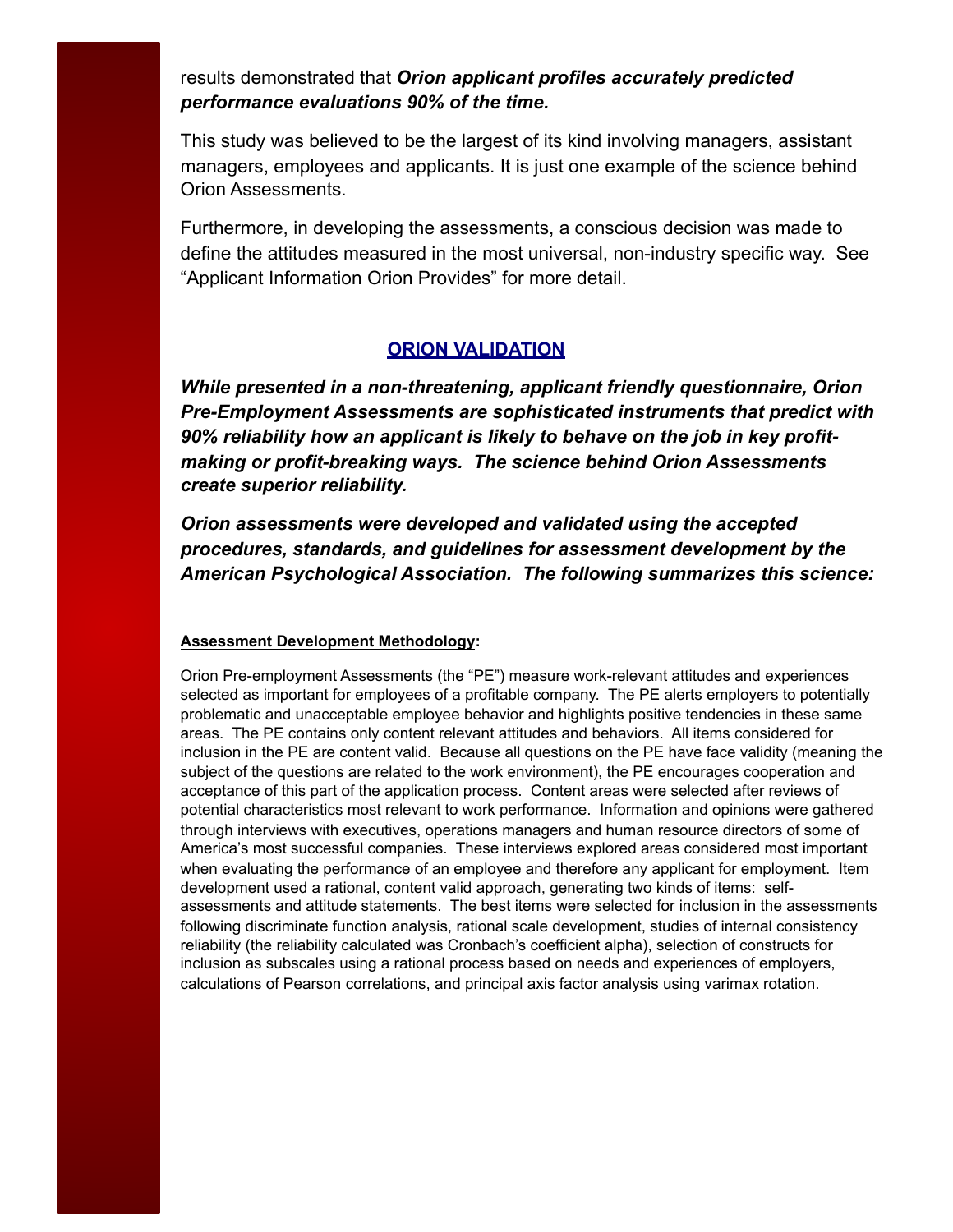results demonstrated that *Orion applicant profiles accurately predicted performance evaluations 90% of the time.*

This study was believed to be the largest of its kind involving managers, assistant managers, employees and applicants. It is just one example of the science behind Orion Assessments.

Furthermore, in developing the assessments, a conscious decision was made to define the attitudes measured in the most universal, non-industry specific way. See "Applicant Information Orion Provides" for more detail.

## **ORION VALIDATION**

*While presented in a non-threatening, applicant friendly questionnaire, Orion Pre-Employment Assessments are sophisticated instruments that predict with 90% reliability how an applicant is likely to behave on the job in key profitmaking or profit-breaking ways. The science behind Orion Assessments create superior reliability.* 

*Orion assessments were developed and validated using the accepted procedures, standards, and guidelines for assessment development by the American Psychological Association. The following summarizes this science:* 

#### **Assessment Development Methodology:**

Orion Pre-employment Assessments (the "PE") measure work-relevant attitudes and experiences selected as important for employees of a profitable company. The PE alerts employers to potentially problematic and unacceptable employee behavior and highlights positive tendencies in these same areas. The PE contains only content relevant attitudes and behaviors. All items considered for inclusion in the PE are content valid. Because all questions on the PE have face validity (meaning the subject of the questions are related to the work environment), the PE encourages cooperation and acceptance of this part of the application process. Content areas were selected after reviews of potential characteristics most relevant to work performance. Information and opinions were gathered through interviews with executives, operations managers and human resource directors of some of America's most successful companies. These interviews explored areas considered most important when evaluating the performance of an employee and therefore any applicant for employment. Item development used a rational, content valid approach, generating two kinds of items: selfassessments and attitude statements. The best items were selected for inclusion in the assessments following discriminate function analysis, rational scale development, studies of internal consistency reliability (the reliability calculated was Cronbach's coefficient alpha), selection of constructs for inclusion as subscales using a rational process based on needs and experiences of employers, calculations of Pearson correlations, and principal axis factor analysis using varimax rotation.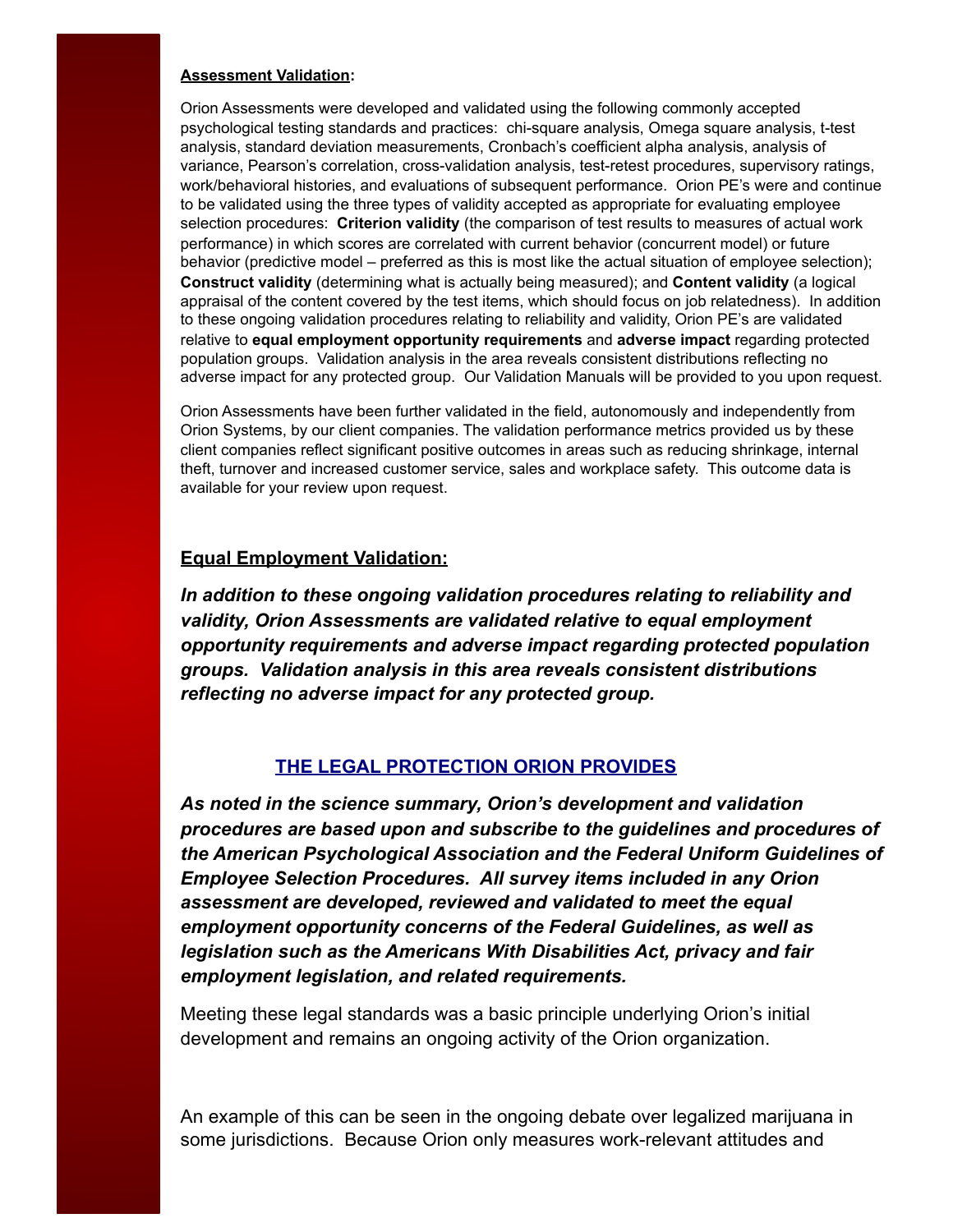#### **Assessment Validation:**

Orion Assessments were developed and validated using the following commonly accepted psychological testing standards and practices: chi-square analysis, Omega square analysis, t-test analysis, standard deviation measurements, Cronbach's coefficient alpha analysis, analysis of variance, Pearson's correlation, cross-validation analysis, test-retest procedures, supervisory ratings, work/behavioral histories, and evaluations of subsequent performance. Orion PE's were and continue to be validated using the three types of validity accepted as appropriate for evaluating employee selection procedures: **Criterion validity** (the comparison of test results to measures of actual work performance) in which scores are correlated with current behavior (concurrent model) or future behavior (predictive model – preferred as this is most like the actual situation of employee selection); **Construct validity** (determining what is actually being measured); and **Content validity** (a logical appraisal of the content covered by the test items, which should focus on job relatedness). In addition to these ongoing validation procedures relating to reliability and validity, Orion PE's are validated relative to **equal employment opportunity requirements** and **adverse impact** regarding protected population groups. Validation analysis in the area reveals consistent distributions reflecting no adverse impact for any protected group. Our Validation Manuals will be provided to you upon request.

Orion Assessments have been further validated in the field, autonomously and independently from Orion Systems, by our client companies. The validation performance metrics provided us by these client companies reflect significant positive outcomes in areas such as reducing shrinkage, internal theft, turnover and increased customer service, sales and workplace safety. This outcome data is available for your review upon request.

## **Equal Employment Validation:**

*In addition to these ongoing validation procedures relating to reliability and validity, Orion Assessments are validated relative to equal employment opportunity requirements and adverse impact regarding protected population groups. Validation analysis in this area reveals consistent distributions reflecting no adverse impact for any protected group.* 

#### **THE LEGAL PROTECTION ORION PROVIDES**

*As noted in the science summary, Orion's development and validation procedures are based upon and subscribe to the guidelines and procedures of the American Psychological Association and the Federal Uniform Guidelines of Employee Selection Procedures. All survey items included in any Orion assessment are developed, reviewed and validated to meet the equal employment opportunity concerns of the Federal Guidelines, as well as legislation such as the Americans With Disabilities Act, privacy and fair employment legislation, and related requirements.* 

Meeting these legal standards was a basic principle underlying Orion's initial development and remains an ongoing activity of the Orion organization.

An example of this can be seen in the ongoing debate over legalized marijuana in some jurisdictions. Because Orion only measures work-relevant attitudes and